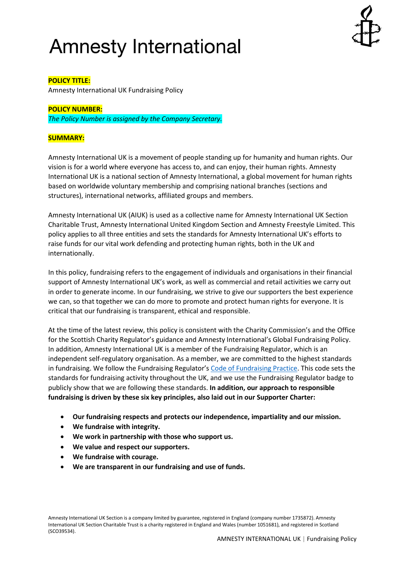

# **POLICY TITLE:**

Amnesty International UK Fundraising Policy

### **POLICY NUMBER:**

*The Policy Number is assigned by the Company Secretary.*

### **SUMMARY:**

Amnesty International UK is a movement of people standing up for humanity and human rights. Our vision is for a world where everyone has access to, and can enjoy, their human rights. Amnesty International UK is a national section of Amnesty International, a global movement for human rights based on worldwide voluntary membership and comprising national branches (sections and structures), international networks, affiliated groups and members.

Amnesty International UK (AIUK) is used as a collective name for Amnesty International UK Section Charitable Trust, Amnesty International United Kingdom Section and Amnesty Freestyle Limited. This policy applies to all three entities and sets the standards for Amnesty International UK's efforts to raise funds for our vital work defending and protecting human rights, both in the UK and internationally.

In this policy, fundraising refers to the engagement of individuals and organisations in their financial support of Amnesty International UK's work, as well as commercial and retail activities we carry out in order to generate income. In our fundraising, we strive to give our supporters the best experience we can, so that together we can do more to promote and protect human rights for everyone. It is critical that our fundraising is transparent, ethical and responsible.

At the time of the latest review, this policy is consistent with the Charity Commission's and the Office for the Scottish Charity Regulator's guidance and Amnesty International's Global Fundraising Policy. In addition, Amnesty International UK is a member of the Fundraising Regulator, which is an independent self-regulatory organisation. As a member, we are committed to the highest standards in fundraising. We follow the Fundraising Regulator's [Code of Fundraising Practice.](https://www.fundraisingregulator.org.uk/code-of-fundraising-practice/code-of-fundraising-practice/) This code sets the standards for fundraising activity throughout the UK, and we use the Fundraising Regulator badge to publicly show that we are following these standards. **In addition, our approach to responsible fundraising is driven by these six key principles, also laid out in our Supporter Charter:**

- **Our fundraising respects and protects our independence, impartiality and our mission.**
- **We fundraise with integrity.**
- **We work in partnership with those who support us.**
- **We value and respect our supporters.**
- **We fundraise with courage.**
- **We are transparent in our fundraising and use of funds.**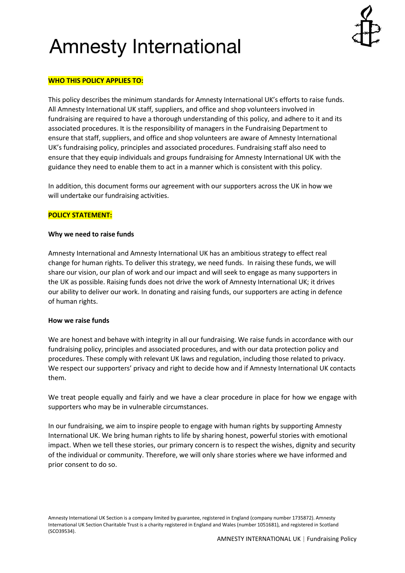

### **WHO THIS POLICY APPLIES TO:**

This policy describes the minimum standards for Amnesty International UK's efforts to raise funds. All Amnesty International UK staff, suppliers, and office and shop volunteers involved in fundraising are required to have a thorough understanding of this policy, and adhere to it and its associated procedures. It is the responsibility of managers in the Fundraising Department to ensure that staff, suppliers, and office and shop volunteers are aware of Amnesty International UK's fundraising policy, principles and associated procedures. Fundraising staff also need to ensure that they equip individuals and groups fundraising for Amnesty International UK with the guidance they need to enable them to act in a manner which is consistent with this policy.

In addition, this document forms our agreement with our supporters across the UK in how we will undertake our fundraising activities.

### **POLICY STATEMENT:**

### **Why we need to raise funds**

Amnesty International and Amnesty International UK has an ambitious strategy to effect real change for human rights. To deliver this strategy, we need funds. In raising these funds, we will share our vision, our plan of work and our impact and will seek to engage as many supporters in the UK as possible. Raising funds does not drive the work of Amnesty International UK; it drives our ability to deliver our work. In donating and raising funds, our supporters are acting in defence of human rights.

### **How we raise funds**

We are honest and behave with integrity in all our fundraising. We raise funds in accordance with our fundraising policy, principles and associated procedures, and with our data protection policy and procedures. These comply with relevant UK laws and regulation, including those related to privacy. We respect our supporters' privacy and right to decide how and if Amnesty International UK contacts them.

We treat people equally and fairly and we have a clear procedure in place for how we engage with supporters who may be in vulnerable circumstances.

In our fundraising, we aim to inspire people to engage with human rights by supporting Amnesty International UK. We bring human rights to life by sharing honest, powerful stories with emotional impact. When we tell these stories, our primary concern is to respect the wishes, dignity and security of the individual or community. Therefore, we will only share stories where we have informed and prior consent to do so.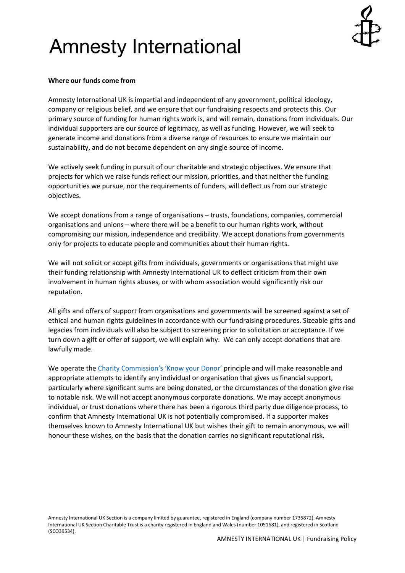

#### **Where our funds come from**

Amnesty International UK is impartial and independent of any government, political ideology, company or religious belief, and we ensure that our fundraising respects and protects this. Our primary source of funding for human rights work is, and will remain, donations from individuals. Our individual supporters are our source of legitimacy, as well as funding. However, we will seek to generate income and donations from a diverse range of resources to ensure we maintain our sustainability, and do not become dependent on any single source of income.

We actively seek funding in pursuit of our charitable and strategic objectives. We ensure that projects for which we raise funds reflect our mission, priorities, and that neither the funding opportunities we pursue, nor the requirements of funders, will deflect us from our strategic objectives.

We accept donations from a range of organisations – trusts, foundations, companies, commercial organisations and unions – where there will be a benefit to our human rights work, without compromising our mission, independence and credibility. We accept donations from governments only for projects to educate people and communities about their human rights.

We will not solicit or accept gifts from individuals, governments or organisations that might use their funding relationship with Amnesty International UK to deflect criticism from their own involvement in human rights abuses, or with whom association would significantly risk our reputation.

All gifts and offers of support from organisations and governments will be screened against a set of ethical and human rights guidelines in accordance with our fundraising procedures. Sizeable gifts and legacies from individuals will also be subject to screening prior to solicitation or acceptance. If we turn down a gift or offer of support, we will explain why. We can only accept donations that are lawfully made.

We operate the [Charity Commission's 'K](http://forms.charitycommission.gov.uk/media/89350/compliance_toolkit_2.pdf)now your Donor' principle and will make reasonable and appropriate attempts to identify any individual or organisation that gives us financial support, particularly where significant sums are being donated, or the circumstances of the donation give rise to notable risk. We will not accept anonymous corporate donations. We may accept anonymous individual, or trust donations where there has been a rigorous third party due diligence process, to confirm that Amnesty International UK is not potentially compromised. If a supporter makes themselves known to Amnesty International UK but wishes their gift to remain anonymous, we will honour these wishes, on the basis that the donation carries no significant reputational risk.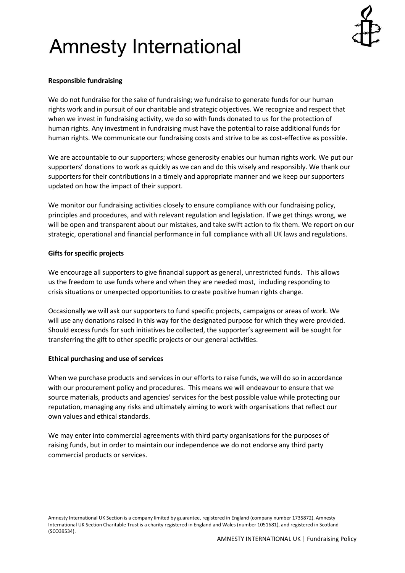

### **Responsible fundraising**

We do not fundraise for the sake of fundraising; we fundraise to generate funds for our human rights work and in pursuit of our charitable and strategic objectives. We recognize and respect that when we invest in fundraising activity, we do so with funds donated to us for the protection of human rights. Any investment in fundraising must have the potential to raise additional funds for human rights. We communicate our fundraising costs and strive to be as cost-effective as possible.

We are accountable to our supporters; whose generosity enables our human rights work. We put our supporters' donations to work as quickly as we can and do this wisely and responsibly. We thank our supporters for their contributions in a timely and appropriate manner and we keep our supporters updated on how the impact of their support.

We monitor our fundraising activities closely to ensure compliance with our fundraising policy, principles and procedures, and with relevant regulation and legislation. If we get things wrong, we will be open and transparent about our mistakes, and take swift action to fix them. We report on our strategic, operational and financial performance in full compliance with all UK laws and regulations.

### **Gifts forspecific projects**

We encourage all supporters to give financial support as general, unrestricted funds. This allows us the freedom to use funds where and when they are needed most, including responding to crisis situations or unexpected opportunities to create positive human rights change.

Occasionally we will ask our supporters to fund specific projects, campaigns or areas of work. We will use any donations raised in this way for the designated purpose for which they were provided. Should excess funds for such initiatives be collected, the supporter's agreement will be sought for transferring the gift to other specific projects or our general activities.

### **Ethical purchasing and use of services**

When we purchase products and services in our efforts to raise funds, we will do so in accordance with our procurement policy and procedures. This means we will endeavour to ensure that we source materials, products and agencies' services for the best possible value while protecting our reputation, managing any risks and ultimately aiming to work with organisations that reflect our own values and ethical standards.

We may enter into commercial agreements with third party organisations for the purposes of raising funds, but in order to maintain our independence we do not endorse any third party commercial products or services.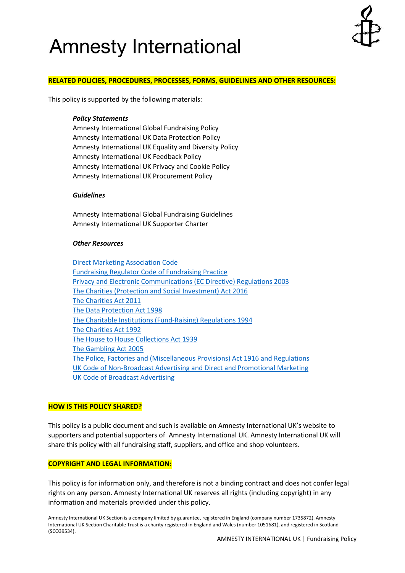

### **RELATED POLICIES, PROCEDURES, PROCESSES, FORMS, GUIDELINES AND OTHER RESOURCES:**

This policy is supported by the following materials:

#### *Policy Statements*

Amnesty International Global Fundraising Policy Amnesty International UK Data Protection Policy Amnesty International UK Equality and Diversity Policy Amnesty International UK Feedback Policy Amnesty International UK Privacy and Cookie Policy Amnesty International UK Procurement Policy

#### *Guidelines*

Amnesty International Global Fundraising Guidelines Amnesty International UK Supporter Charter

#### *Other Resources*

[Direct Marketing Association Code](https://dma.org.uk/uploads/5628a1a29b3dc-interactive_code_21_oct_2015_5628a1a29b344.pdf) [Fundraising Regulator Code of Fundraising Practice](file://///Pangolin/Users/ejolly/My%20Documents/Ella/Work/Draft%20documents/•%09https:/www.fundraisingregulator.org.uk/code-of-fundraising-practice/code-of-fundraising-practice/) [Privacy and Electronic Communications \(EC Directive\) Regulations 2003](http://www.legislation.gov.uk/uksi/2003/2426/contents/made) [The Charities \(Protection and Social Investment\) Act 2016](http://www.legislation.gov.uk/ukpga/2016/4/contents/enacted/data.htm) [The Charities Act 2011](http://www.legislation.gov.uk/ukpga/2011/25/contents/enacted) [The Data Protection Act 1998](http://www.legislation.gov.uk/ukpga/1998/29/contents) [The Charitable Institutions \(Fund-Raising\) Regulations 1994](http://www.legislation.gov.uk/uksi/1994/3024/made) [The Charities Act 1992](http://www.legislation.gov.uk/ukpga/1992/41/part/II) [The House to House Collections Act 1939](http://www.legislation.gov.uk/ukpga/Geo6/2-3/44) [The Gambling Act 2005](http://www.legislation.gov.uk/ukpga/2005/19/pdfs/ukpga_20050019_en.pdf) [The Police, Factories and \(Miscellaneous Provisions\) Act 1916 and Regulations](http://www.legislation.gov.uk/ukpga/Geo5/6-7/31) [UK Code of Non-Broadcast Advertising and Direct and Promotional Marketing](https://www.asa.org.uk/codes-and-rulings/advertising-codes/non-broadcast-code.html) [UK Code of Broadcast Advertising](https://www.asa.org.uk/codes-and-rulings/advertising-codes/broadcast-code.html)

#### **HOW IS THIS POLICY SHARED?**

This policy is a public document and such is available on Amnesty International UK's website to supporters and potential supporters of Amnesty International UK. Amnesty International UK will share this policy with all fundraising staff, suppliers, and office and shop volunteers.

#### **COPYRIGHT AND LEGAL INFORMATION:**

This policy is for information only, and therefore is not a binding contract and does not confer legal rights on any person. Amnesty International UK reserves all rights (including copyright) in any information and materials provided under this policy.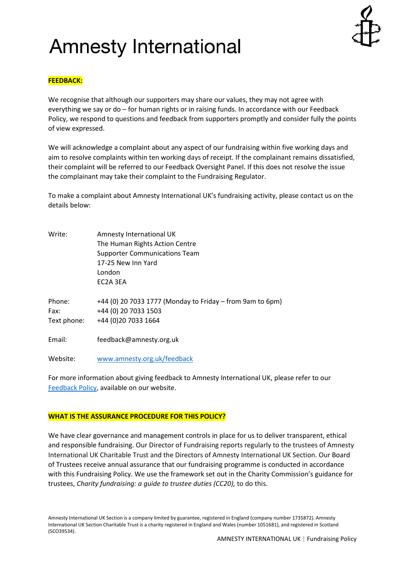

# **FEEDBACK:**

We recognise that although our supporters may share our values, they may not agree with everything we say or do – for human rights or in raising funds. In accordance with our Feedback Policy, we respond to questions and feedback from supporters promptly and consider fully the points of view expressed.

We will acknowledge a complaint about any aspect of our fundraising within five working days and aim to resolve complaints within ten working days of receipt. If the complainant remains dissatisfied, their complaint will be referred to our Feedback Oversight Panel. If this does not resolve the issue the complainant may take their complaint to the Fundraising Regulator.

To make a complaint about Amnesty International UK's fundraising activity, please contact us on the details below:

| Write:                        | Amnesty International UK<br>The Human Rights Action Centre<br><b>Supporter Communications Team</b><br>17-25 New Inn Yard<br>London |
|-------------------------------|------------------------------------------------------------------------------------------------------------------------------------|
|                               | EC <sub>2</sub> A 3EA                                                                                                              |
| Phone:<br>Fax:<br>Text phone: | +44 (0) 20 7033 1777 (Monday to Friday – from 9am to 6pm)<br>+44 (0) 20 7033 1503<br>+44 (0)20 7033 1664                           |
| Email:                        | feedback@amnesty.org.uk                                                                                                            |
| Website:                      | www.amnesty.org.uk/feedback                                                                                                        |

For more information about giving feedback to Amnesty International UK, please refer to our [Feedback Policy,](https://www.amnesty.org.uk/feedback) available on our website.

### **WHAT IS THE ASSURANCE PROCEDURE FOR THIS POLICY?**

We have clear governance and management controls in place for us to deliver transparent, ethical and responsible fundraising. Our Director of Fundraising reports regularly to the trustees of Amnesty International UK Charitable Trust and the Directors of Amnesty International UK Section. Our Board of Trustees receive annual assurance that our fundraising programme is conducted in accordance with this Fundraising Policy. We use the framework set out in the Charity Commission's guidance for trustees, *Charity fundraising: a guide to trustee duties (CC20),* to do this.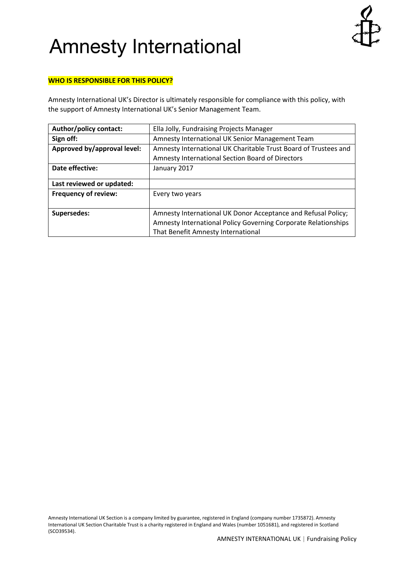

# **WHO IS RESPONSIBLE FOR THIS POLICY?**

Amnesty International UK's Director is ultimately responsible for compliance with this policy, with the support of Amnesty International UK's Senior Management Team.

| Author/policy contact:      | Ella Jolly, Fundraising Projects Manager                        |
|-----------------------------|-----------------------------------------------------------------|
| Sign off:                   | Amnesty International UK Senior Management Team                 |
| Approved by/approval level: | Amnesty International UK Charitable Trust Board of Trustees and |
|                             | Amnesty International Section Board of Directors                |
| Date effective:             | January 2017                                                    |
|                             |                                                                 |
| Last reviewed or updated:   |                                                                 |
| <b>Frequency of review:</b> | Every two years                                                 |
|                             |                                                                 |
| Supersedes:                 | Amnesty International UK Donor Acceptance and Refusal Policy;   |
|                             | Amnesty International Policy Governing Corporate Relationships  |
|                             | That Benefit Amnesty International                              |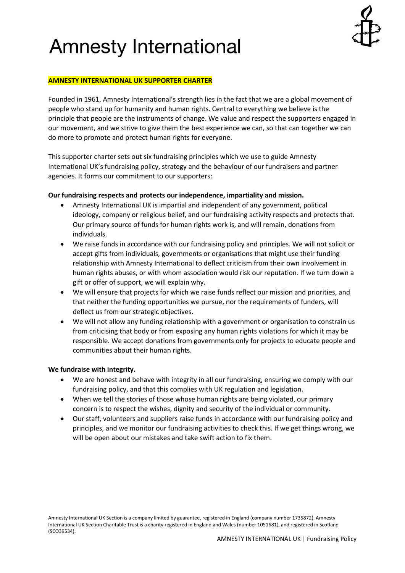

# **AMNESTY INTERNATIONAL UK SUPPORTER CHARTER**

Founded in 1961, Amnesty International's strength lies in the fact that we are a global movement of people who stand up for humanity and human rights. Central to everything we believe is the principle that people are the instruments of change. We value and respect the supporters engaged in our movement, and we strive to give them the best experience we can, so that can together we can do more to promote and protect human rights for everyone.

This supporter charter sets out six fundraising principles which we use to guide Amnesty International UK's fundraising policy, strategy and the behaviour of our fundraisers and partner agencies. It forms our commitment to our supporters:

### **Our fundraising respects and protects our independence, impartiality and mission.**

- Amnesty International UK is impartial and independent of any government, political ideology, company or religious belief, and our fundraising activity respects and protects that. Our primary source of funds for human rights work is, and will remain, donations from individuals.
- We raise funds in accordance with our fundraising policy and principles. We will not solicit or accept gifts from individuals, governments or organisations that might use their funding relationship with Amnesty International to deflect criticism from their own involvement in human rights abuses, or with whom association would risk our reputation. If we turn down a gift or offer of support, we will explain why.
- We will ensure that projects for which we raise funds reflect our mission and priorities, and that neither the funding opportunities we pursue, nor the requirements of funders, will deflect us from our strategic objectives.
- We will not allow any funding relationship with a government or organisation to constrain us from criticising that body or from exposing any human rights violations for which it may be responsible. We accept donations from governments only for projects to educate people and communities about their human rights.

### **We fundraise with integrity.**

- We are honest and behave with integrity in all our fundraising, ensuring we comply with our fundraising policy, and that this complies with UK regulation and legislation.
- When we tell the stories of those whose human rights are being violated, our primary concern is to respect the wishes, dignity and security of the individual or community.
- Our staff, volunteers and suppliers raise funds in accordance with our fundraising policy and principles, and we monitor our fundraising activities to check this. If we get things wrong, we will be open about our mistakes and take swift action to fix them.